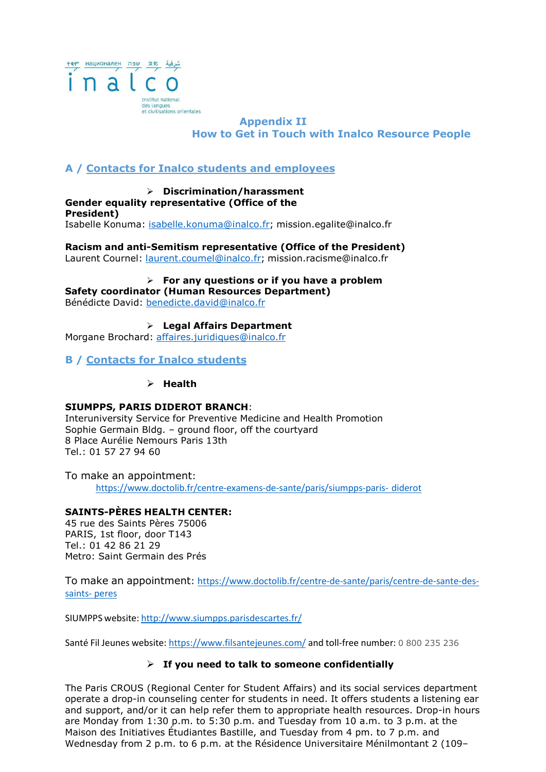

# **Appendix II How to Get in Touch with Inalco Resource People**

# **A / Contacts for Inalco students and employees**

 **Discrimination/harassment Gender equality representative (Office of the President)** Isabelle Konuma: isabelle.konuma@inalco.fr; [mission.egalite@inalco.fr](mailto:mission.egalite@inalco.fr)

**Racism and anti-Semitism representative (Office of the President)** Laurent Cournel: laurent.coumel@inalco.fr; [mission.racisme@inalco.fr](mailto:mission.racisme@inalco.fr)

**For any questions or if you have a problem**

**Safety coordinator (Human Resources Department)**

Bénédicte David: [benedicte.david@inalco.fr](mailto:benedicte.david@inalco.fr)

 **Legal Affairs Department** Morgane Brochard: [affaires.juridiques@inalco.fr](mailto:affaires.juridiques@inalco.fr)

**B / Contacts for Inalco students**

**Health**

### **SIUMPPS, PARIS DIDEROT BRANCH**:

Interuniversity Service for Preventive Medicine and Health Promotion Sophie Germain Bldg. – ground floor, off the courtyard 8 Place Aurélie Nemours Paris 13th Tel.: 01 57 27 94 60

To make an appointment: https:/[/www.doctolib.fr/centre-examens-de-sante/paris/siumpps-paris-](http://www.doctolib.fr/centre-examens-de-sante/paris/siumpps-paris-diderot) diderot

# **SAINTS-PÈRES HEALTH CENTER:**

45 rue des Saints Pères 75006 PARIS, 1st floor, door T143 Tel.: 01 42 86 21 29 Metro: Saint Germain des Prés

To make an appointment: https:/[/www.doctolib.fr/centre-de-sante/paris/centre-de-sante-des](http://www.doctolib.fr/centre-de-sante/paris/centre-de-sante-des-)saints- peres

SIUMPPS website: <http://www.siumpps.parisdescartes.fr/>

Santé Fil Jeunes website: https:/[/www.filsantejeunes.com/](http://www.filsantejeunes.com/) and toll-free number: 0 800 235 236

# **If you need to talk to someone confidentially**

The Paris CROUS (Regional Center for Student Affairs) and its social services department operate a drop-in counseling center for students in need. It offers students a listening ear and support, and/or it can help refer them to appropriate health resources. Drop-in hours are Monday from 1:30 p.m. to 5:30 p.m. and Tuesday from 10 a.m. to 3 p.m. at the Maison des Initiatives Étudiantes Bastille, and Tuesday from 4 pm. to 7 p.m. and Wednesday from 2 p.m. to 6 p.m. at the Résidence Universitaire Ménilmontant 2 (109–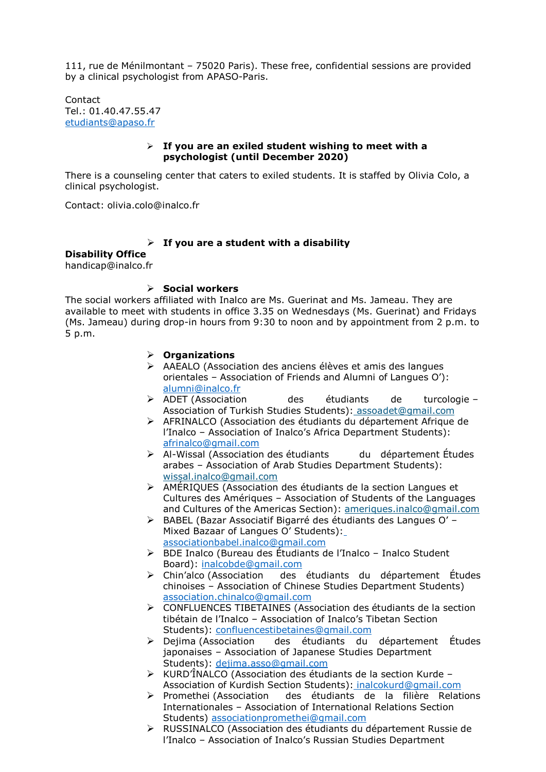111, rue de Ménilmontant – 75020 Paris). These free, confidential sessions are provided by a clinical psychologist from APASO-Paris.

Contact Tel.: 01.40.47.55.47 [etudiants@apaso.fr](mailto:etudiants@apaso.fr)

#### **If you are an exiled student wishing to meet with a psychologist (until December 2020)**

There is a counseling center that caters to exiled students. It is staffed by Olivia Colo, a clinical psychologist.

Contact: [olivia.colo@inalco.fr](mailto:olivia.colo@inalco.fr)

### **If you are a student with a disability**

**Disability Office** [handicap@inalco.fr](mailto:handicap@inalco.fr)

## **Social workers**

The social workers affiliated with Inalco are Ms. Guerinat and Ms. Jameau. They are available to meet with students in office 3.35 on Wednesdays (Ms. Guerinat) and Fridays (Ms. Jameau) during drop-in hours from 9:30 to noon and by appointment from 2 p.m. to 5 p.m.

### **Organizations**

- AAEALO (Association des anciens élèves et amis des langues orientales – Association of Friends and Alumni of Langues O'): [alumni@inalco.fr](mailto:alumni@inalco.fr)
- ADET (Association des étudiants de turcologie Association of Turkish Studies Students): [assoadet@gmail.com](mailto:assoadet@gmail.com)
- AFRINALCO (Association des étudiants du département Afrique de l'Inalco – Association of Inalco's Africa Department Students): [afrinalco@gmail.com](mailto:afrinalco@gmail.com)
- Al-Wissal (Association des étudiants du département Études arabes – Association of Arab Studies Department Students): [wissal.inalco@gmail.com](mailto:wissal.inalco@gmail.com)
- AMÉRIQUES (Association des étudiants de la section Langues et Cultures des Amériques – Association of Students of the Languages and Cultures of the Americas Section): [ameriques.inalco@gmail.com](mailto:ameriques.inalco@gmail.com)
- BABEL (Bazar Associatif Bigarré des étudiants des Langues O' Mixed Bazaar of Langues O' Students): [associationbabel.inalco@gmail.com](mailto:associationbabel.inalco@gmail.com)
- BDE Inalco (Bureau des Étudiants de l'Inalco Inalco Student Board): [inalcobde@gmail.com](mailto:inalcobde@gmail.com)
- Chin'alco (Association des étudiants du département Études chinoises – Association of Chinese Studies Department Students) [association.chinalco@gmail.com](mailto:association.chinalco@gmail.com)
- CONFLUENCES TIBETAINES (Association des étudiants de la section tibétain de l'Inalco – Association of Inalco's Tibetan Section Students): [confluencestibetaines@gmail.com](mailto:confluencestibetaines@gmail.com)
- Dejima (Association des étudiants du département Études japonaises – Association of Japanese Studies Department Students): [dejima.asso@gmail.com](mailto:dejima.asso@gmail.com)
- KURD'ÎNALCO (Association des étudiants de la section Kurde Association of Kurdish Section Students): [inalcokurd@gmail.com](mailto:inalcokurd@gmail.com)
- Promethei (Association des étudiants de la filière Relations Internationales – Association of International Relations Section Students) [associationpromethei@gmail.com](mailto:associationpromethei@gmail.com)
- RUSSINALCO (Association des étudiants du département Russie de l'Inalco – Association of Inalco's Russian Studies Department